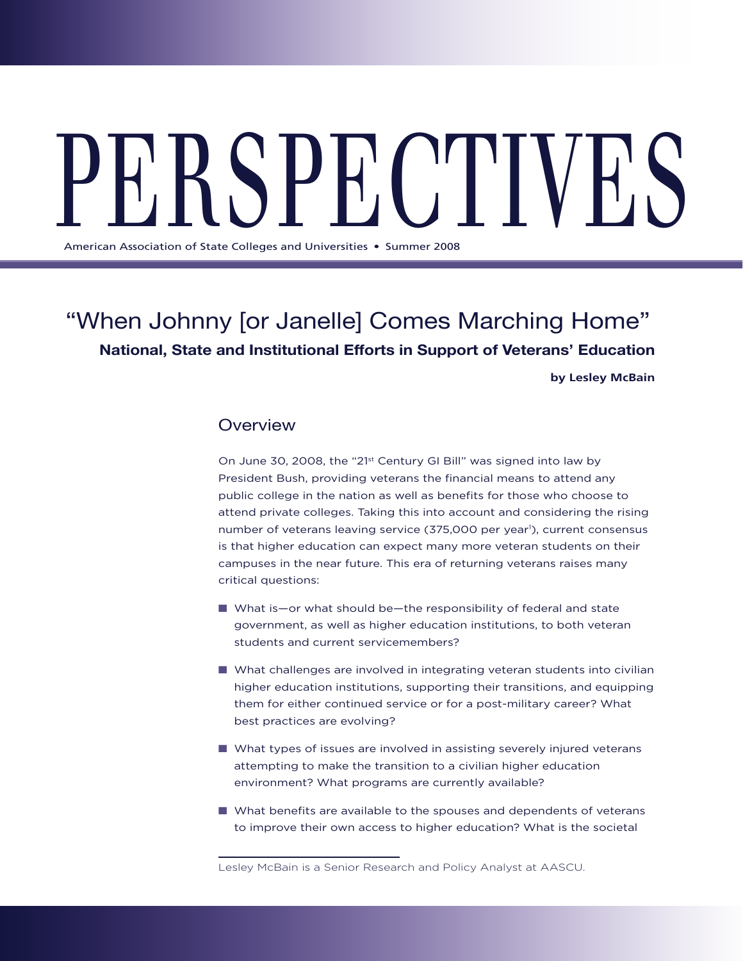# PERS  $\sum_{i=1}^N$   $\left[\begin{array}{c} 1 & 0 \\ 0 & 1 \end{array}\right]$

American Association of State Colleges and Universities . Summer 2008

## "When Johnny [or Janelle] Comes Marching Home" **National, State and Institutional Efforts in Support of Veterans' Education**

**by Lesley McBain**

## **Overview**

On June 30, 2008, the "21st Century GI Bill" was signed into law by President Bush, providing veterans the financial means to attend any public college in the nation as well as benefits for those who choose to attend private colleges. Taking this into account and considering the rising number of veterans leaving service (375,000 per year<sup>1</sup>), current consensus is that higher education can expect many more veteran students on their campuses in the near future. This era of returning veterans raises many critical questions:

- What is—or what should be—the responsibility of federal and state government, as well as higher education institutions, to both veteran students and current servicemembers?
- $\blacksquare$  What challenges are involved in integrating veteran students into civilian higher education institutions, supporting their transitions, and equipping them for either continued service or for a post-military career? What best practices are evolving?
- $\blacksquare$  What types of issues are involved in assisting severely injured veterans attempting to make the transition to a civilian higher education environment? What programs are currently available?
- $\blacksquare$  What benefits are available to the spouses and dependents of veterans to improve their own access to higher education? What is the societal

Lesley McBain is a Senior Research and Policy Analyst at AASCU.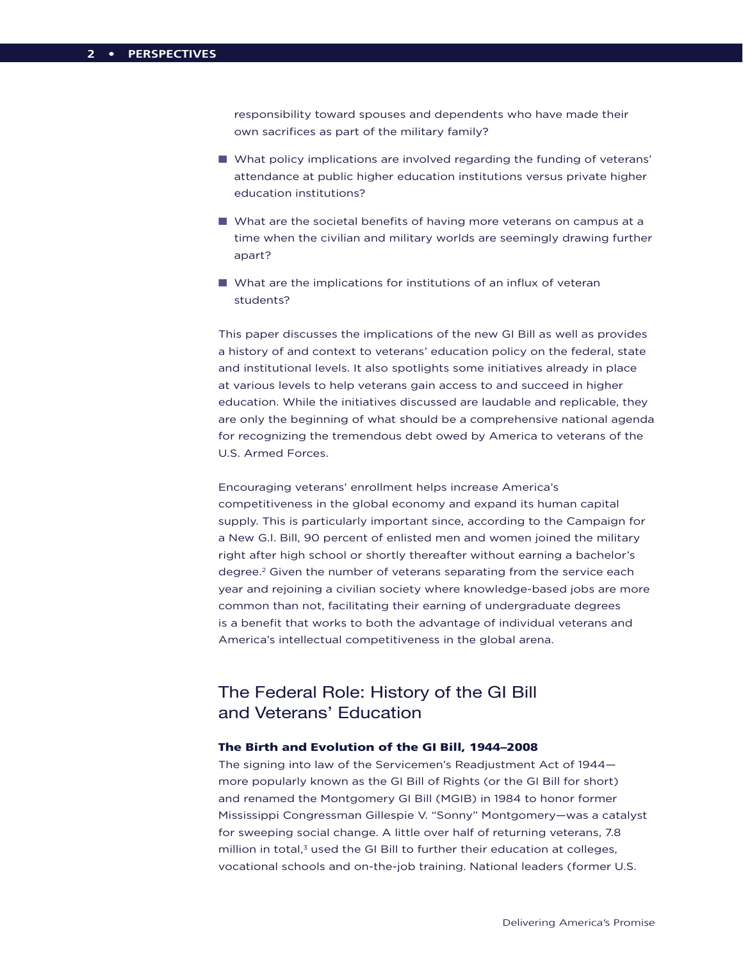responsibility toward spouses and dependents who have made their own sacrifices as part of the military family?

- **n** What policy implications are involved regarding the funding of veterans' attendance at public higher education institutions versus private higher education institutions?
- What are the societal benefits of having more veterans on campus at a time when the civilian and military worlds are seemingly drawing further apart?
- $\blacksquare$  What are the implications for institutions of an influx of veteran students?

This paper discusses the implications of the new GI Bill as well as provides a history of and context to veterans' education policy on the federal, state and institutional levels. It also spotlights some initiatives already in place at various levels to help veterans gain access to and succeed in higher education. While the initiatives discussed are laudable and replicable, they are only the beginning of what should be a comprehensive national agenda for recognizing the tremendous debt owed by America to veterans of the U.S. Armed Forces.

Encouraging veterans' enrollment helps increase America's competitiveness in the global economy and expand its human capital supply. This is particularly important since, according to the Campaign for a New G.I. Bill, 90 percent of enlisted men and women joined the military right after high school or shortly thereafter without earning a bachelor's degree.2 Given the number of veterans separating from the service each year and rejoining a civilian society where knowledge-based jobs are more common than not, facilitating their earning of undergraduate degrees is a benefit that works to both the advantage of individual veterans and America's intellectual competitiveness in the global arena.

## The Federal Role: History of the GI Bill and Veterans' Education

## The Birth and Evolution of the GI Bill, 1944–2008

The signing into law of the Servicemen's Readjustment Act of 1944 more popularly known as the GI Bill of Rights (or the GI Bill for short) and renamed the Montgomery GI Bill (MGIB) in 1984 to honor former Mississippi Congressman Gillespie V. "Sonny" Montgomery—was a catalyst for sweeping social change. A little over half of returning veterans, 7.8 million in total, $3$  used the GI Bill to further their education at colleges, vocational schools and on-the-job training. National leaders (former U.S.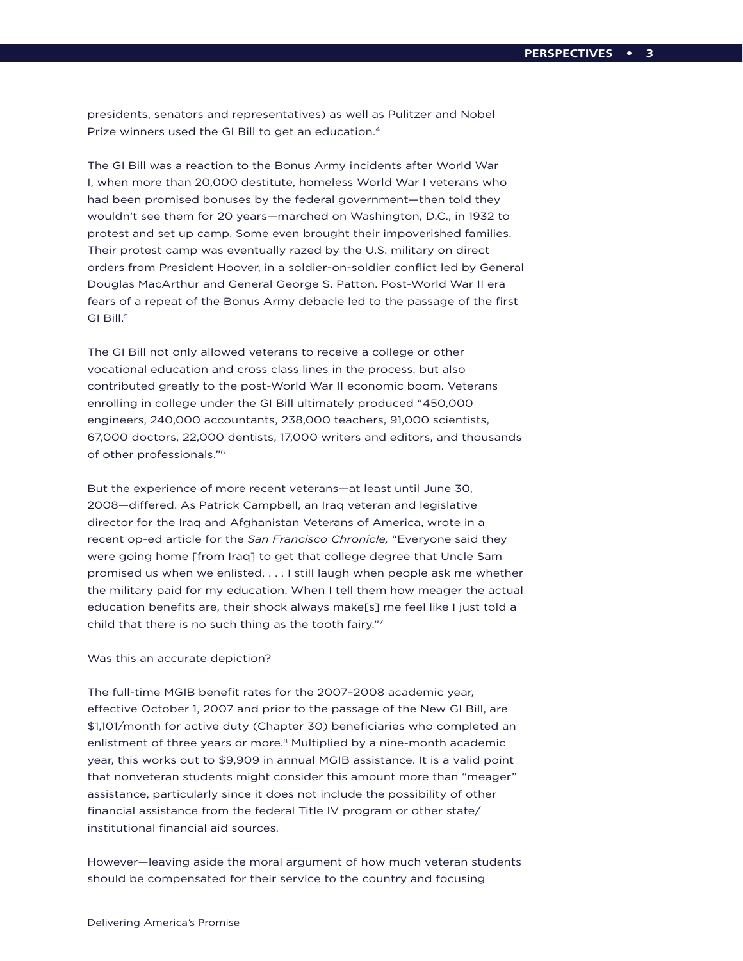presidents, senators and representatives) as well as Pulitzer and Nobel Prize winners used the GI Bill to get an education.4

The GI Bill was a reaction to the Bonus Army incidents after World War I, when more than 20,000 destitute, homeless World War I veterans who had been promised bonuses by the federal government—then told they wouldn't see them for 20 years—marched on Washington, D.C., in 1932 to protest and set up camp. Some even brought their impoverished families. Their protest camp was eventually razed by the U.S. military on direct orders from President Hoover, in a soldier-on-soldier conflict led by General Douglas MacArthur and General George S. Patton. Post-World War II era fears of a repeat of the Bonus Army debacle led to the passage of the first GI Bill.<sup>5</sup>

The GI Bill not only allowed veterans to receive a college or other vocational education and cross class lines in the process, but also contributed greatly to the post-World War II economic boom. Veterans enrolling in college under the GI Bill ultimately produced "450,000 engineers, 240,000 accountants, 238,000 teachers, 91,000 scientists, 67,000 doctors, 22,000 dentists, 17,000 writers and editors, and thousands of other professionals."6

But the experience of more recent veterans—at least until June 30, 2008—differed. As Patrick Campbell, an Iraq veteran and legislative director for the Iraq and Afghanistan Veterans of America, wrote in a recent op-ed article for the *San Francisco Chronicle,* "Everyone said they were going home [from Iraq] to get that college degree that Uncle Sam promised us when we enlisted. . . . I still laugh when people ask me whether the military paid for my education. When I tell them how meager the actual education benefits are, their shock always make[s] me feel like I just told a child that there is no such thing as the tooth fairy."7

## Was this an accurate depiction?

The full-time MGIB benefit rates for the 2007–2008 academic year, effective October 1, 2007 and prior to the passage of the New GI Bill, are \$1,101/month for active duty (Chapter 30) beneficiaries who completed an enlistment of three years or more.<sup>8</sup> Multiplied by a nine-month academic year, this works out to \$9,909 in annual MGIB assistance. It is a valid point that nonveteran students might consider this amount more than "meager" assistance, particularly since it does not include the possibility of other financial assistance from the federal Title IV program or other state/ institutional financial aid sources.

However—leaving aside the moral argument of how much veteran students should be compensated for their service to the country and focusing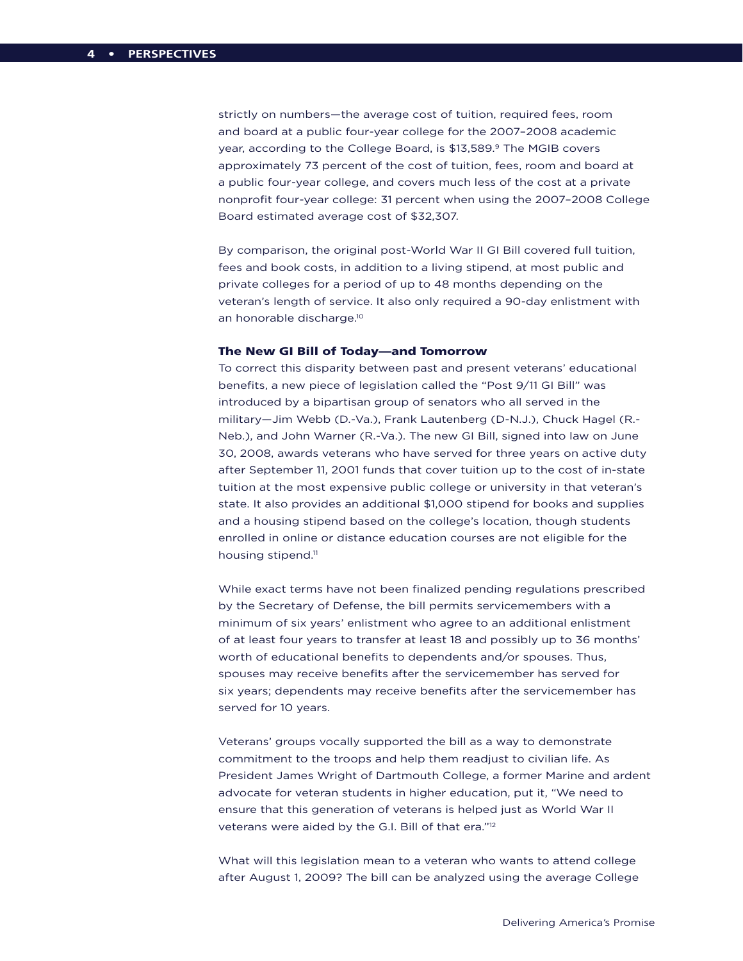strictly on numbers—the average cost of tuition, required fees, room and board at a public four-year college for the 2007–2008 academic year, according to the College Board, is \$13,589.9 The MGIB covers approximately 73 percent of the cost of tuition, fees, room and board at a public four-year college, and covers much less of the cost at a private nonprofit four-year college: 31 percent when using the 2007–2008 College Board estimated average cost of \$32,307.

By comparison, the original post-World War II GI Bill covered full tuition, fees and book costs, in addition to a living stipend, at most public and private colleges for a period of up to 48 months depending on the veteran's length of service. It also only required a 90-day enlistment with an honorable discharge.10

#### The New GI Bill of Today—and Tomorrow

To correct this disparity between past and present veterans' educational benefits, a new piece of legislation called the "Post 9/11 GI Bill" was introduced by a bipartisan group of senators who all served in the military—Jim Webb (D.-Va.), Frank Lautenberg (D-N.J.), Chuck Hagel (R.- Neb.), and John Warner (R.-Va.). The new GI Bill, signed into law on June 30, 2008, awards veterans who have served for three years on active duty after September 11, 2001 funds that cover tuition up to the cost of in-state tuition at the most expensive public college or university in that veteran's state. It also provides an additional \$1,000 stipend for books and supplies and a housing stipend based on the college's location, though students enrolled in online or distance education courses are not eligible for the housing stipend.<sup>11</sup>

While exact terms have not been finalized pending regulations prescribed by the Secretary of Defense, the bill permits servicemembers with a minimum of six years' enlistment who agree to an additional enlistment of at least four years to transfer at least 18 and possibly up to 36 months' worth of educational benefits to dependents and/or spouses. Thus, spouses may receive benefits after the servicemember has served for six years; dependents may receive benefits after the servicemember has served for 10 years.

Veterans' groups vocally supported the bill as a way to demonstrate commitment to the troops and help them readjust to civilian life. As President James Wright of Dartmouth College, a former Marine and ardent advocate for veteran students in higher education, put it, "We need to ensure that this generation of veterans is helped just as World War II veterans were aided by the G.I. Bill of that era."12

What will this legislation mean to a veteran who wants to attend college after August 1, 2009? The bill can be analyzed using the average College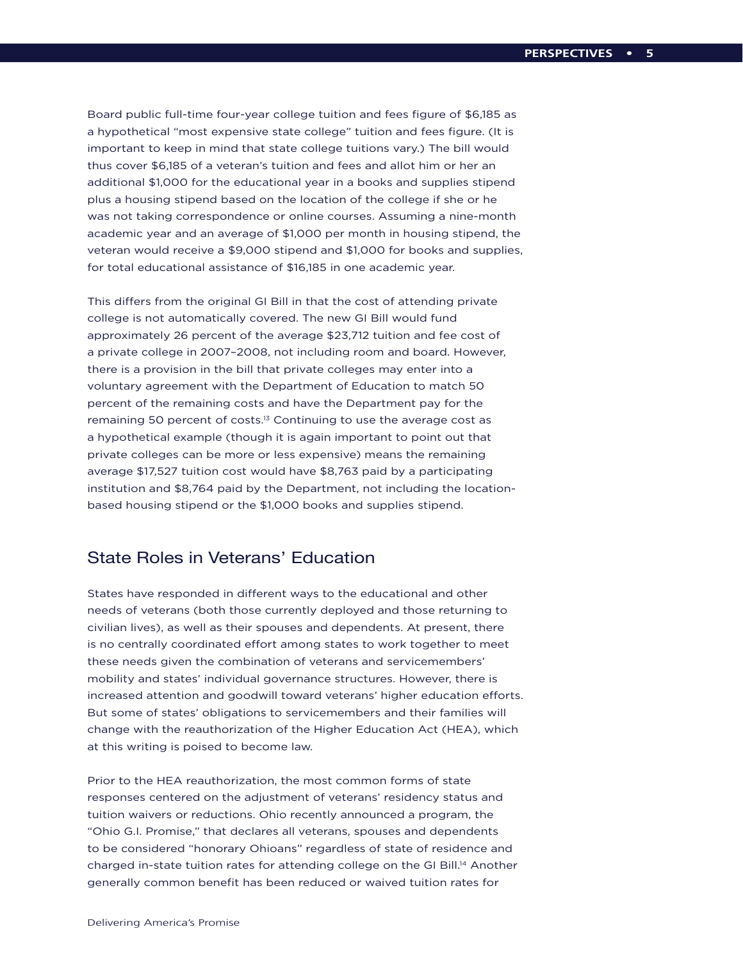Board public full-time four-year college tuition and fees figure of \$6,185 as a hypothetical "most expensive state college" tuition and fees figure. (It is important to keep in mind that state college tuitions vary.) The bill would thus cover \$6,185 of a veteran's tuition and fees and allot him or her an additional \$1,000 for the educational year in a books and supplies stipend plus a housing stipend based on the location of the college if she or he was not taking correspondence or online courses. Assuming a nine-month academic year and an average of \$1,000 per month in housing stipend, the veteran would receive a \$9,000 stipend and \$1,000 for books and supplies, for total educational assistance of \$16,185 in one academic year.

This differs from the original GI Bill in that the cost of attending private college is not automatically covered. The new GI Bill would fund approximately 26 percent of the average \$23,712 tuition and fee cost of a private college in 2007–2008, not including room and board. However, there is a provision in the bill that private colleges may enter into a voluntary agreement with the Department of Education to match 50 percent of the remaining costs and have the Department pay for the remaining 50 percent of costs.<sup>13</sup> Continuing to use the average cost as a hypothetical example (though it is again important to point out that private colleges can be more or less expensive) means the remaining average \$17,527 tuition cost would have \$8,763 paid by a participating institution and \$8,764 paid by the Department, not including the locationbased housing stipend or the \$1,000 books and supplies stipend.

## State Roles in Veterans' Education

States have responded in different ways to the educational and other needs of veterans (both those currently deployed and those returning to civilian lives), as well as their spouses and dependents. At present, there is no centrally coordinated effort among states to work together to meet these needs given the combination of veterans and servicemembers' mobility and states' individual governance structures. However, there is increased attention and goodwill toward veterans' higher education efforts. But some of states' obligations to servicemembers and their families will change with the reauthorization of the Higher Education Act (HEA), which at this writing is poised to become law.

Prior to the HEA reauthorization, the most common forms of state responses centered on the adjustment of veterans' residency status and tuition waivers or reductions. Ohio recently announced a program, the "Ohio G.I. Promise," that declares all veterans, spouses and dependents to be considered "honorary Ohioans" regardless of state of residence and charged in-state tuition rates for attending college on the GI Bill.14 Another generally common benefit has been reduced or waived tuition rates for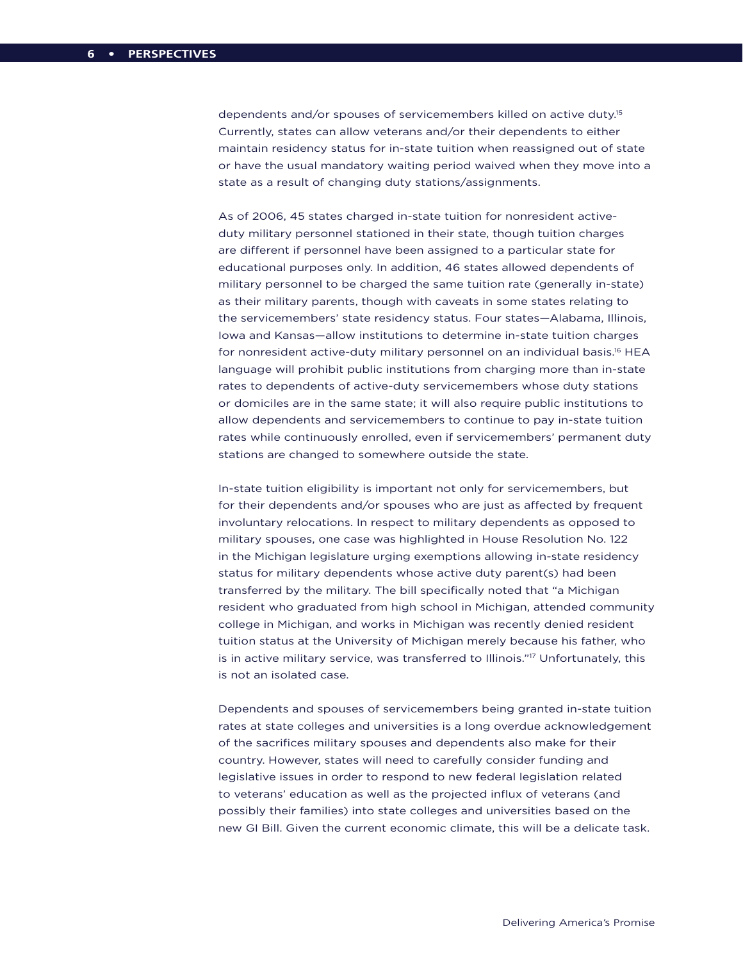dependents and/or spouses of servicemembers killed on active duty.<sup>15</sup> Currently, states can allow veterans and/or their dependents to either maintain residency status for in-state tuition when reassigned out of state or have the usual mandatory waiting period waived when they move into a state as a result of changing duty stations/assignments.

As of 2006, 45 states charged in-state tuition for nonresident activeduty military personnel stationed in their state, though tuition charges are different if personnel have been assigned to a particular state for educational purposes only. In addition, 46 states allowed dependents of military personnel to be charged the same tuition rate (generally in-state) as their military parents, though with caveats in some states relating to the servicemembers' state residency status. Four states—Alabama, Illinois, Iowa and Kansas—allow institutions to determine in-state tuition charges for nonresident active-duty military personnel on an individual basis.<sup>16</sup> HEA language will prohibit public institutions from charging more than in-state rates to dependents of active-duty servicemembers whose duty stations or domiciles are in the same state; it will also require public institutions to allow dependents and servicemembers to continue to pay in-state tuition rates while continuously enrolled, even if servicemembers' permanent duty stations are changed to somewhere outside the state.

In-state tuition eligibility is important not only for servicemembers, but for their dependents and/or spouses who are just as affected by frequent involuntary relocations. In respect to military dependents as opposed to military spouses, one case was highlighted in House Resolution No. 122 in the Michigan legislature urging exemptions allowing in-state residency status for military dependents whose active duty parent(s) had been transferred by the military. The bill specifically noted that "a Michigan resident who graduated from high school in Michigan, attended community college in Michigan, and works in Michigan was recently denied resident tuition status at the University of Michigan merely because his father, who is in active military service, was transferred to Illinois."17 Unfortunately, this is not an isolated case.

Dependents and spouses of servicemembers being granted in-state tuition rates at state colleges and universities is a long overdue acknowledgement of the sacrifices military spouses and dependents also make for their country. However, states will need to carefully consider funding and legislative issues in order to respond to new federal legislation related to veterans' education as well as the projected influx of veterans (and possibly their families) into state colleges and universities based on the new GI Bill. Given the current economic climate, this will be a delicate task.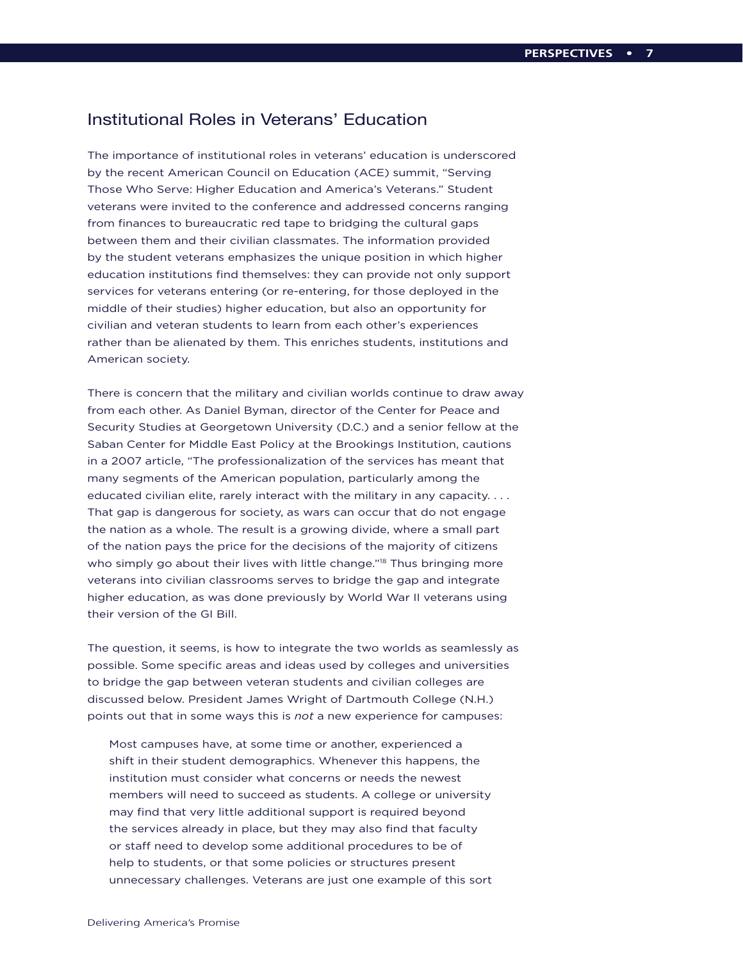## Institutional Roles in Veterans' Education

The importance of institutional roles in veterans' education is underscored by the recent American Council on Education (ACE) summit, "Serving Those Who Serve: Higher Education and America's Veterans." Student veterans were invited to the conference and addressed concerns ranging from finances to bureaucratic red tape to bridging the cultural gaps between them and their civilian classmates. The information provided by the student veterans emphasizes the unique position in which higher education institutions find themselves: they can provide not only support services for veterans entering (or re-entering, for those deployed in the middle of their studies) higher education, but also an opportunity for civilian and veteran students to learn from each other's experiences rather than be alienated by them. This enriches students, institutions and American society.

There is concern that the military and civilian worlds continue to draw away from each other. As Daniel Byman, director of the Center for Peace and Security Studies at Georgetown University (D.C.) and a senior fellow at the Saban Center for Middle East Policy at the Brookings Institution, cautions in a 2007 article, "The professionalization of the services has meant that many segments of the American population, particularly among the educated civilian elite, rarely interact with the military in any capacity. . . . That gap is dangerous for society, as wars can occur that do not engage the nation as a whole. The result is a growing divide, where a small part of the nation pays the price for the decisions of the majority of citizens who simply go about their lives with little change."<sup>18</sup> Thus bringing more veterans into civilian classrooms serves to bridge the gap and integrate higher education, as was done previously by World War II veterans using their version of the GI Bill.

The question, it seems, is how to integrate the two worlds as seamlessly as possible. Some specific areas and ideas used by colleges and universities to bridge the gap between veteran students and civilian colleges are discussed below. President James Wright of Dartmouth College (N.H.) points out that in some ways this is *not* a new experience for campuses:

Most campuses have, at some time or another, experienced a shift in their student demographics. Whenever this happens, the institution must consider what concerns or needs the newest members will need to succeed as students. A college or university may find that very little additional support is required beyond the services already in place, but they may also find that faculty or staff need to develop some additional procedures to be of help to students, or that some policies or structures present unnecessary challenges. Veterans are just one example of this sort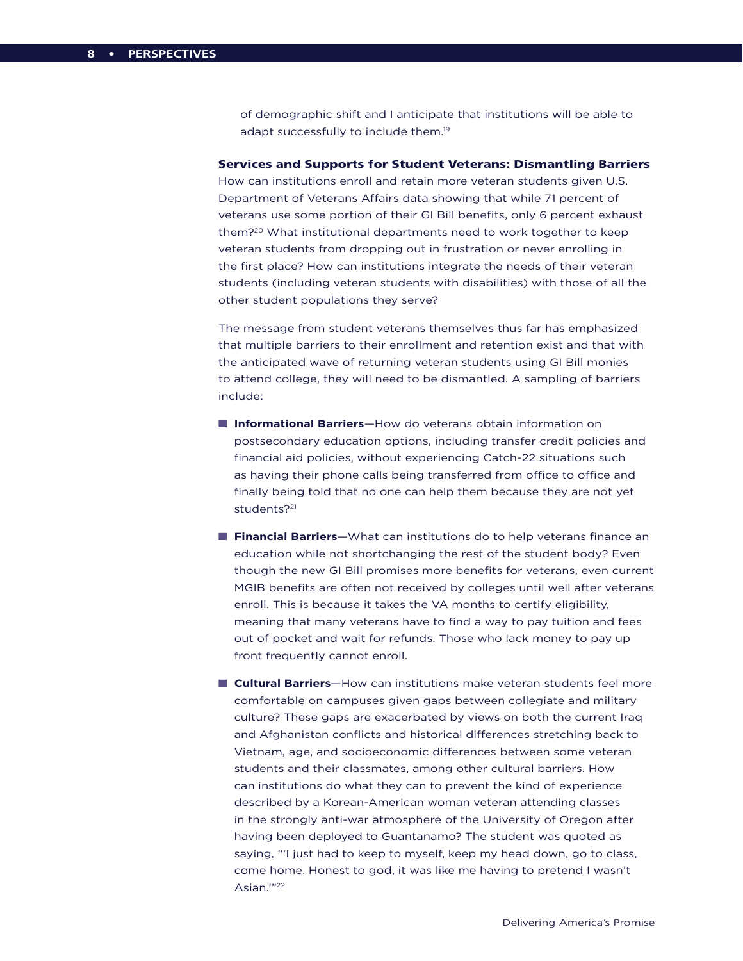of demographic shift and I anticipate that institutions will be able to adapt successfully to include them.<sup>19</sup>

## Services and Supports for Student Veterans: Dismantling Barriers

How can institutions enroll and retain more veteran students given U.S. Department of Veterans Affairs data showing that while 71 percent of veterans use some portion of their GI Bill benefits, only 6 percent exhaust them?20 What institutional departments need to work together to keep veteran students from dropping out in frustration or never enrolling in the first place? How can institutions integrate the needs of their veteran students (including veteran students with disabilities) with those of all the other student populations they serve?

The message from student veterans themselves thus far has emphasized that multiple barriers to their enrollment and retention exist and that with the anticipated wave of returning veteran students using GI Bill monies to attend college, they will need to be dismantled. A sampling of barriers include:

- **n Informational Barriers**—How do veterans obtain information on postsecondary education options, including transfer credit policies and financial aid policies, without experiencing Catch-22 situations such as having their phone calls being transferred from office to office and finally being told that no one can help them because they are not yet students?<sup>21</sup>
- **Financial Barriers**—What can institutions do to help veterans finance an education while not shortchanging the rest of the student body? Even though the new GI Bill promises more benefits for veterans, even current MGIB benefits are often not received by colleges until well after veterans enroll. This is because it takes the VA months to certify eligibility, meaning that many veterans have to find a way to pay tuition and fees out of pocket and wait for refunds. Those who lack money to pay up front frequently cannot enroll.
- **Cultural Barriers**—How can institutions make veteran students feel more comfortable on campuses given gaps between collegiate and military culture? These gaps are exacerbated by views on both the current Iraq and Afghanistan conflicts and historical differences stretching back to Vietnam, age, and socioeconomic differences between some veteran students and their classmates, among other cultural barriers. How can institutions do what they can to prevent the kind of experience described by a Korean-American woman veteran attending classes in the strongly anti-war atmosphere of the University of Oregon after having been deployed to Guantanamo? The student was quoted as saying, "'I just had to keep to myself, keep my head down, go to class, come home. Honest to god, it was like me having to pretend I wasn't Asian."<sup>22</sup>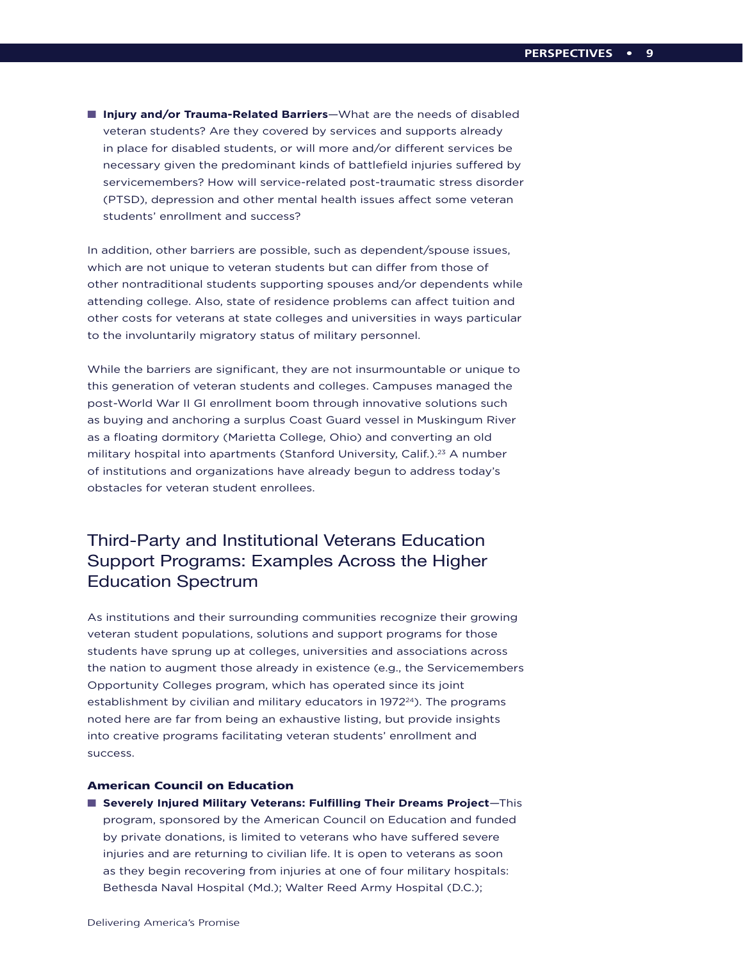**n Injury and/or Trauma-Related Barriers**—What are the needs of disabled veteran students? Are they covered by services and supports already in place for disabled students, or will more and/or different services be necessary given the predominant kinds of battlefield injuries suffered by servicemembers? How will service-related post-traumatic stress disorder (PTSD), depression and other mental health issues affect some veteran students' enrollment and success?

In addition, other barriers are possible, such as dependent/spouse issues, which are not unique to veteran students but can differ from those of other nontraditional students supporting spouses and/or dependents while attending college. Also, state of residence problems can affect tuition and other costs for veterans at state colleges and universities in ways particular to the involuntarily migratory status of military personnel.

While the barriers are significant, they are not insurmountable or unique to this generation of veteran students and colleges. Campuses managed the post-World War II GI enrollment boom through innovative solutions such as buying and anchoring a surplus Coast Guard vessel in Muskingum River as a floating dormitory (Marietta College, Ohio) and converting an old military hospital into apartments (Stanford University, Calif.).<sup>23</sup> A number of institutions and organizations have already begun to address today's obstacles for veteran student enrollees.

## Third-Party and Institutional Veterans Education Support Programs: Examples Across the Higher Education Spectrum

As institutions and their surrounding communities recognize their growing veteran student populations, solutions and support programs for those students have sprung up at colleges, universities and associations across the nation to augment those already in existence (e.g., the Servicemembers Opportunity Colleges program, which has operated since its joint establishment by civilian and military educators in 1972<sup>24</sup>). The programs noted here are far from being an exhaustive listing, but provide insights into creative programs facilitating veteran students' enrollment and success.

## American Council on Education

■ Severely Injured Military Veterans: Fulfilling Their Dreams Project-This program, sponsored by the American Council on Education and funded by private donations, is limited to veterans who have suffered severe injuries and are returning to civilian life. It is open to veterans as soon as they begin recovering from injuries at one of four military hospitals: Bethesda Naval Hospital (Md.); Walter Reed Army Hospital (D.C.);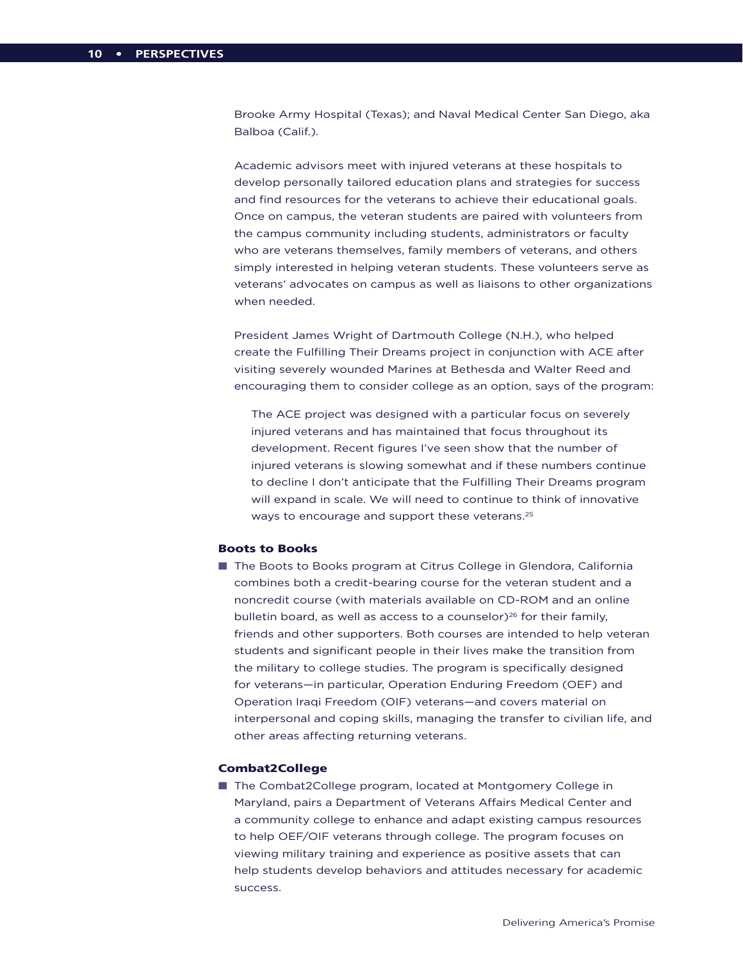Brooke Army Hospital (Texas); and Naval Medical Center San Diego, aka Balboa (Calif.).

Academic advisors meet with injured veterans at these hospitals to develop personally tailored education plans and strategies for success and find resources for the veterans to achieve their educational goals. Once on campus, the veteran students are paired with volunteers from the campus community including students, administrators or faculty who are veterans themselves, family members of veterans, and others simply interested in helping veteran students. These volunteers serve as veterans' advocates on campus as well as liaisons to other organizations when needed.

President James Wright of Dartmouth College (N.H.), who helped create the Fulfilling Their Dreams project in conjunction with ACE after visiting severely wounded Marines at Bethesda and Walter Reed and encouraging them to consider college as an option, says of the program:

The ACE project was designed with a particular focus on severely injured veterans and has maintained that focus throughout its development. Recent figures I've seen show that the number of injured veterans is slowing somewhat and if these numbers continue to decline I don't anticipate that the Fulfilling Their Dreams program will expand in scale. We will need to continue to think of innovative ways to encourage and support these veterans.<sup>25</sup>

## Boots to Books

■ The Boots to Books program at Citrus College in Glendora, California combines both a credit-bearing course for the veteran student and a noncredit course (with materials available on CD-ROM and an online bulletin board, as well as access to a counselor) $26$  for their family, friends and other supporters. Both courses are intended to help veteran students and significant people in their lives make the transition from the military to college studies. The program is specifically designed for veterans—in particular, Operation Enduring Freedom (OEF) and Operation Iraqi Freedom (OIF) veterans—and covers material on interpersonal and coping skills, managing the transfer to civilian life, and other areas affecting returning veterans.

## Combat2College

■ The Combat2College program, located at Montgomery College in Maryland, pairs a Department of Veterans Affairs Medical Center and a community college to enhance and adapt existing campus resources to help OEF/OIF veterans through college. The program focuses on viewing military training and experience as positive assets that can help students develop behaviors and attitudes necessary for academic success.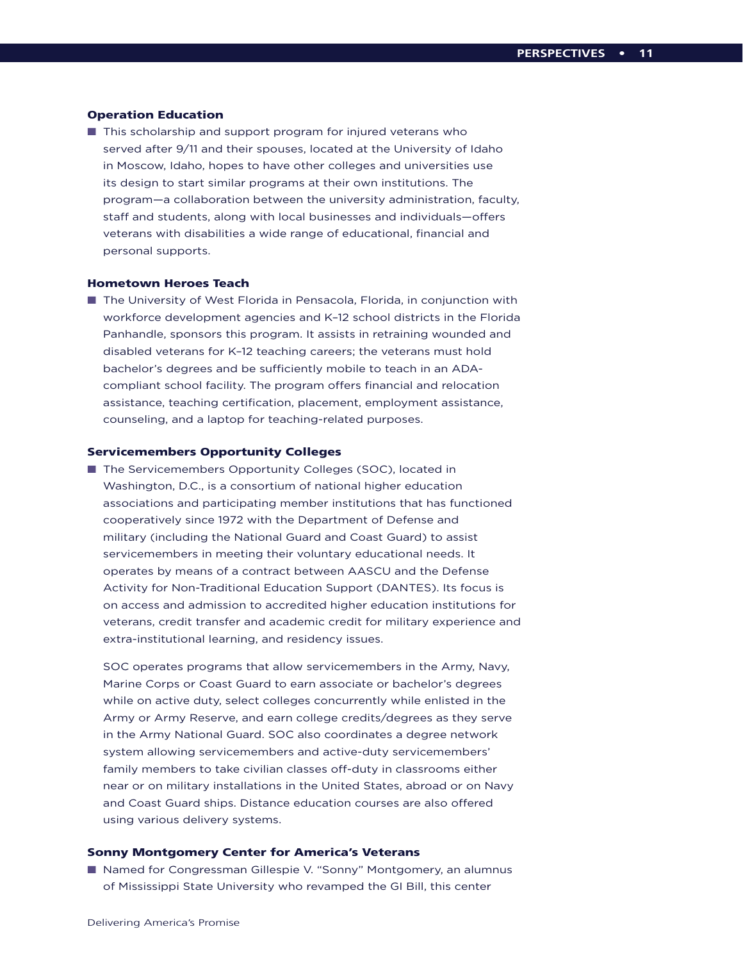## Operation Education

 $\blacksquare$  This scholarship and support program for injured veterans who served after 9/11 and their spouses, located at the University of Idaho in Moscow, Idaho, hopes to have other colleges and universities use its design to start similar programs at their own institutions. The program—a collaboration between the university administration, faculty, staff and students, along with local businesses and individuals—offers veterans with disabilities a wide range of educational, financial and personal supports.

#### Hometown Heroes Teach

■ The University of West Florida in Pensacola, Florida, in conjunction with workforce development agencies and K–12 school districts in the Florida Panhandle, sponsors this program. It assists in retraining wounded and disabled veterans for K–12 teaching careers; the veterans must hold bachelor's degrees and be sufficiently mobile to teach in an ADAcompliant school facility. The program offers financial and relocation assistance, teaching certification, placement, employment assistance, counseling, and a laptop for teaching-related purposes.

## Servicemembers Opportunity Colleges

■ The Servicemembers Opportunity Colleges (SOC), located in Washington, D.C., is a consortium of national higher education associations and participating member institutions that has functioned cooperatively since 1972 with the Department of Defense and military (including the National Guard and Coast Guard) to assist servicemembers in meeting their voluntary educational needs. It operates by means of a contract between AASCU and the Defense Activity for Non-Traditional Education Support (DANTES). Its focus is on access and admission to accredited higher education institutions for veterans, credit transfer and academic credit for military experience and extra-institutional learning, and residency issues.

SOC operates programs that allow servicemembers in the Army, Navy, Marine Corps or Coast Guard to earn associate or bachelor's degrees while on active duty, select colleges concurrently while enlisted in the Army or Army Reserve, and earn college credits/degrees as they serve in the Army National Guard. SOC also coordinates a degree network system allowing servicemembers and active-duty servicemembers' family members to take civilian classes off-duty in classrooms either near or on military installations in the United States, abroad or on Navy and Coast Guard ships. Distance education courses are also offered using various delivery systems.

## Sonny Montgomery Center for America's Veterans

■ Named for Congressman Gillespie V. "Sonny" Montgomery, an alumnus of Mississippi State University who revamped the GI Bill, this center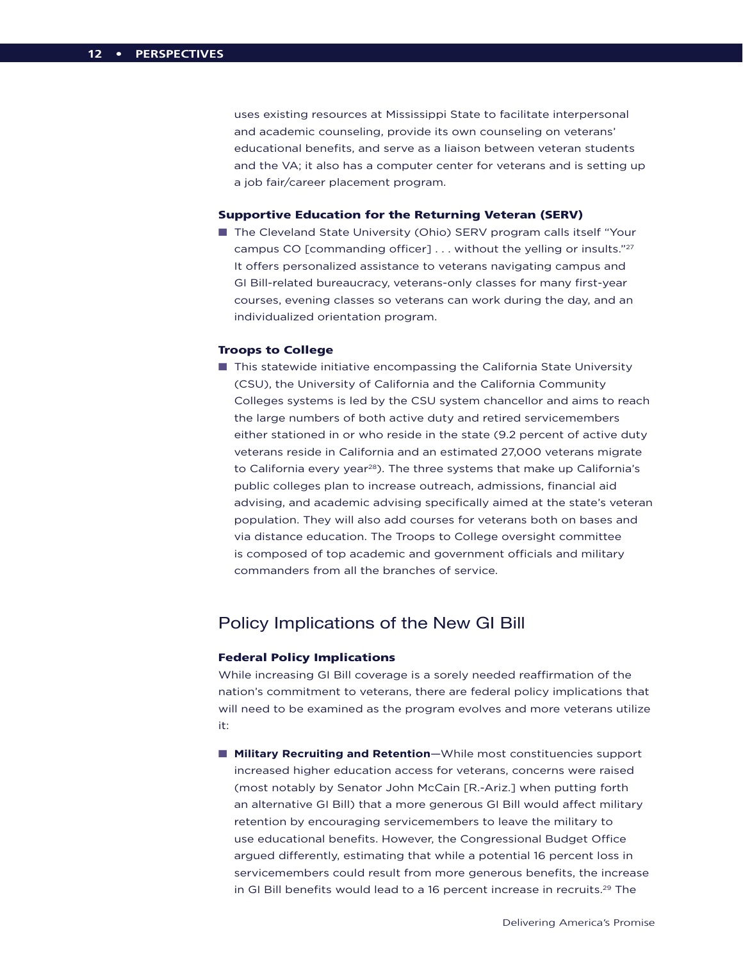uses existing resources at Mississippi State to facilitate interpersonal and academic counseling, provide its own counseling on veterans' educational benefits, and serve as a liaison between veteran students and the VA; it also has a computer center for veterans and is setting up a job fair/career placement program.

## Supportive Education for the Returning Veteran (SERV)

■ The Cleveland State University (Ohio) SERV program calls itself "Your campus CO [commanding officer] ... without the yelling or insults."<sup>27</sup> It offers personalized assistance to veterans navigating campus and GI Bill-related bureaucracy, veterans-only classes for many first-year courses, evening classes so veterans can work during the day, and an individualized orientation program.

## Troops to College

**n** This statewide initiative encompassing the California State University (CSU), the University of California and the California Community Colleges systems is led by the CSU system chancellor and aims to reach the large numbers of both active duty and retired servicemembers either stationed in or who reside in the state (9.2 percent of active duty veterans reside in California and an estimated 27,000 veterans migrate to California every year<sup>28</sup>). The three systems that make up California's public colleges plan to increase outreach, admissions, financial aid advising, and academic advising specifically aimed at the state's veteran population. They will also add courses for veterans both on bases and via distance education. The Troops to College oversight committee is composed of top academic and government officials and military commanders from all the branches of service.

## Policy Implications of the New GI Bill

## Federal Policy Implications

While increasing GI Bill coverage is a sorely needed reaffirmation of the nation's commitment to veterans, there are federal policy implications that will need to be examined as the program evolves and more veterans utilize it:

■ **Military Recruiting and Retention**—While most constituencies support increased higher education access for veterans, concerns were raised (most notably by Senator John McCain [R.-Ariz.] when putting forth an alternative GI Bill) that a more generous GI Bill would affect military retention by encouraging servicemembers to leave the military to use educational benefits. However, the Congressional Budget Office argued differently, estimating that while a potential 16 percent loss in servicemembers could result from more generous benefits, the increase in GI Bill benefits would lead to a 16 percent increase in recruits.<sup>29</sup> The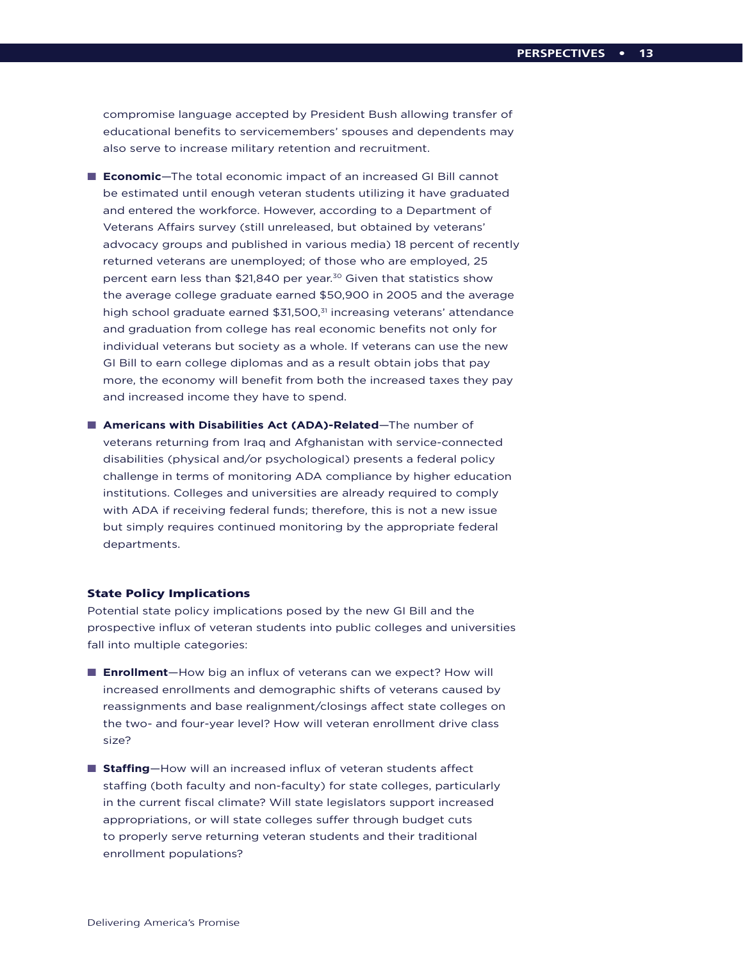compromise language accepted by President Bush allowing transfer of educational benefits to servicemembers' spouses and dependents may also serve to increase military retention and recruitment.

- **Economic**—The total economic impact of an increased GI Bill cannot be estimated until enough veteran students utilizing it have graduated and entered the workforce. However, according to a Department of Veterans Affairs survey (still unreleased, but obtained by veterans' advocacy groups and published in various media) 18 percent of recently returned veterans are unemployed; of those who are employed, 25 percent earn less than \$21,840 per year.<sup>30</sup> Given that statistics show the average college graduate earned \$50,900 in 2005 and the average high school graduate earned \$31,500,<sup>31</sup> increasing veterans' attendance and graduation from college has real economic benefits not only for individual veterans but society as a whole. If veterans can use the new GI Bill to earn college diplomas and as a result obtain jobs that pay more, the economy will benefit from both the increased taxes they pay and increased income they have to spend.
- **n** Americans with Disabilities Act (ADA)-Related-The number of veterans returning from Iraq and Afghanistan with service-connected disabilities (physical and/or psychological) presents a federal policy challenge in terms of monitoring ADA compliance by higher education institutions. Colleges and universities are already required to comply with ADA if receiving federal funds; therefore, this is not a new issue but simply requires continued monitoring by the appropriate federal departments.

## State Policy Implications

Potential state policy implications posed by the new GI Bill and the prospective influx of veteran students into public colleges and universities fall into multiple categories:

- **Enrollment**—How big an influx of veterans can we expect? How will increased enrollments and demographic shifts of veterans caused by reassignments and base realignment/closings affect state colleges on the two- and four-year level? How will veteran enrollment drive class size?
- **Staffing**—How will an increased influx of veteran students affect staffing (both faculty and non-faculty) for state colleges, particularly in the current fiscal climate? Will state legislators support increased appropriations, or will state colleges suffer through budget cuts to properly serve returning veteran students and their traditional enrollment populations?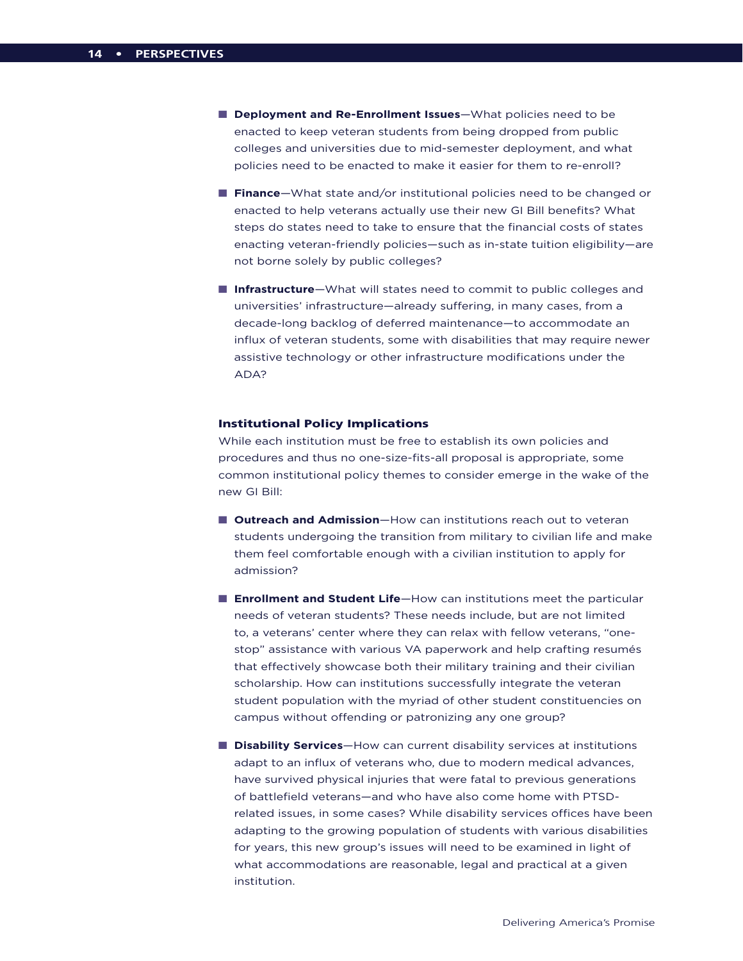- **n** Deployment and Re-Enrollment Issues-What policies need to be enacted to keep veteran students from being dropped from public colleges and universities due to mid-semester deployment, and what policies need to be enacted to make it easier for them to re-enroll?
- **Finance**—What state and/or institutional policies need to be changed or enacted to help veterans actually use their new GI Bill benefits? What steps do states need to take to ensure that the financial costs of states enacting veteran-friendly policies—such as in-state tuition eligibility—are not borne solely by public colleges?
- **n Infrastructure**—What will states need to commit to public colleges and universities' infrastructure—already suffering, in many cases, from a decade-long backlog of deferred maintenance—to accommodate an influx of veteran students, some with disabilities that may require newer assistive technology or other infrastructure modifications under the ADA?

## Institutional Policy Implications

While each institution must be free to establish its own policies and procedures and thus no one-size-fits-all proposal is appropriate, some common institutional policy themes to consider emerge in the wake of the new GI Bill:

- **n** Outreach and Admission-How can institutions reach out to veteran students undergoing the transition from military to civilian life and make them feel comfortable enough with a civilian institution to apply for admission?
- **Enrollment and Student Life**—How can institutions meet the particular needs of veteran students? These needs include, but are not limited to, a veterans' center where they can relax with fellow veterans, "onestop" assistance with various VA paperwork and help crafting resumés that effectively showcase both their military training and their civilian scholarship. How can institutions successfully integrate the veteran student population with the myriad of other student constituencies on campus without offending or patronizing any one group?
- **n Disability Services**—How can current disability services at institutions adapt to an influx of veterans who, due to modern medical advances, have survived physical injuries that were fatal to previous generations of battlefield veterans—and who have also come home with PTSDrelated issues, in some cases? While disability services offices have been adapting to the growing population of students with various disabilities for years, this new group's issues will need to be examined in light of what accommodations are reasonable, legal and practical at a given institution.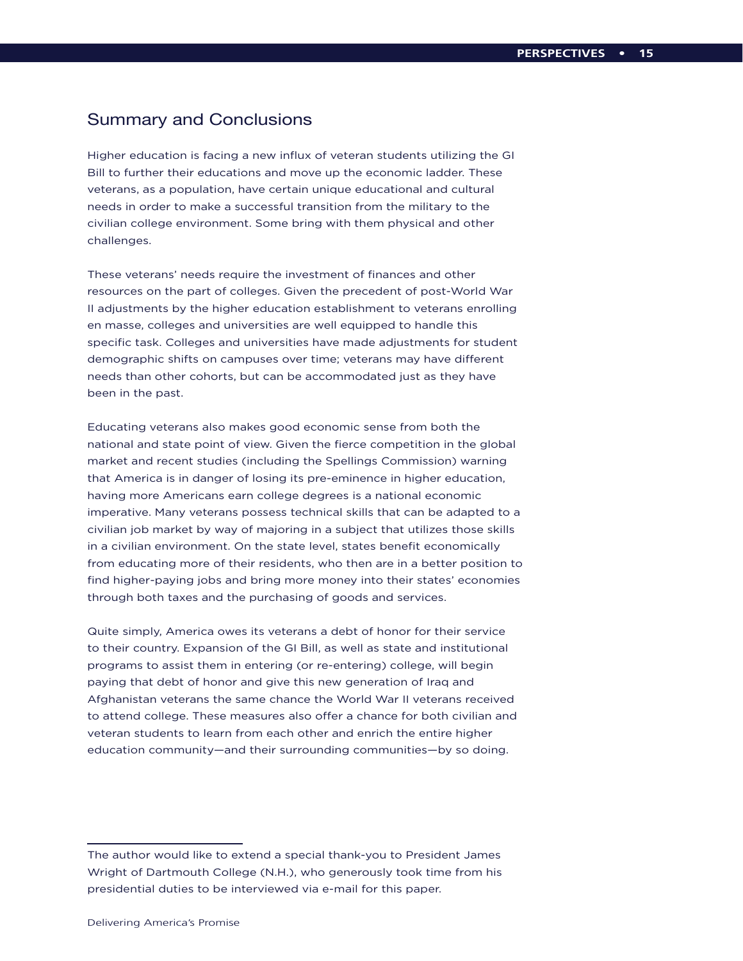## Summary and Conclusions

Higher education is facing a new influx of veteran students utilizing the GI Bill to further their educations and move up the economic ladder. These veterans, as a population, have certain unique educational and cultural needs in order to make a successful transition from the military to the civilian college environment. Some bring with them physical and other challenges.

These veterans' needs require the investment of finances and other resources on the part of colleges. Given the precedent of post-World War II adjustments by the higher education establishment to veterans enrolling en masse, colleges and universities are well equipped to handle this specific task. Colleges and universities have made adjustments for student demographic shifts on campuses over time; veterans may have different needs than other cohorts, but can be accommodated just as they have been in the past.

Educating veterans also makes good economic sense from both the national and state point of view. Given the fierce competition in the global market and recent studies (including the Spellings Commission) warning that America is in danger of losing its pre-eminence in higher education, having more Americans earn college degrees is a national economic imperative. Many veterans possess technical skills that can be adapted to a civilian job market by way of majoring in a subject that utilizes those skills in a civilian environment. On the state level, states benefit economically from educating more of their residents, who then are in a better position to find higher-paying jobs and bring more money into their states' economies through both taxes and the purchasing of goods and services.

Quite simply, America owes its veterans a debt of honor for their service to their country. Expansion of the GI Bill, as well as state and institutional programs to assist them in entering (or re-entering) college, will begin paying that debt of honor and give this new generation of Iraq and Afghanistan veterans the same chance the World War II veterans received to attend college. These measures also offer a chance for both civilian and veteran students to learn from each other and enrich the entire higher education community—and their surrounding communities—by so doing.

The author would like to extend a special thank-you to President James Wright of Dartmouth College (N.H.), who generously took time from his presidential duties to be interviewed via e-mail for this paper.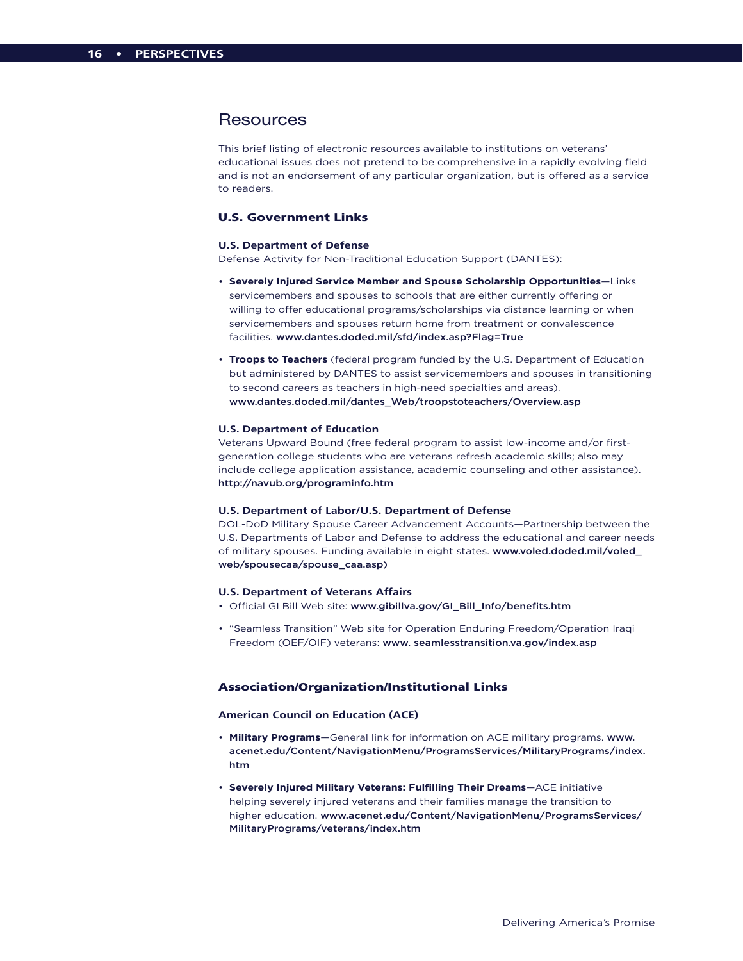## **Resources**

This brief listing of electronic resources available to institutions on veterans' educational issues does not pretend to be comprehensive in a rapidly evolving field and is not an endorsement of any particular organization, but is offered as a service to readers.

## U.S. Government Links

#### **U.S. Department of Defense**

Defense Activity for Non-Traditional Education Support (DANTES):

- **Severely Injured Service Member and Spouse Scholarship Opportunities**—Links servicemembers and spouses to schools that are either currently offering or willing to offer educational programs/scholarships via distance learning or when servicemembers and spouses return home from treatment or convalescence facilities. www.dantes.doded.mil/sfd/index.asp?Flag=True
- **Troops to Teachers** (federal program funded by the U.S. Department of Education but administered by DANTES to assist servicemembers and spouses in transitioning to second careers as teachers in high-need specialties and areas). www.dantes.doded.mil/dantes\_Web/troopstoteachers/Overview.asp

#### **U.S. Department of Education**

Veterans Upward Bound (free federal program to assist low-income and/or firstgeneration college students who are veterans refresh academic skills; also may include college application assistance, academic counseling and other assistance). http://navub.org/programinfo.htm

#### **U.S. Department of Labor/U.S. Department of Defense**

DOL-DoD Military Spouse Career Advancement Accounts—Partnership between the U.S. Departments of Labor and Defense to address the educational and career needs of military spouses. Funding available in eight states. www.voled.doded.mil/voled\_ web/spousecaa/spouse\_caa.asp)

#### **U.S. Department of Veterans Affairs**

- Official GI Bill Web site: www.gibillva.gov/GI\_Bill\_Info/benefits.htm
- "Seamless Transition" Web site for Operation Enduring Freedom/Operation Iraqi Freedom (OEF/OIF) veterans: www. seamlesstransition.va.gov/index.asp

## Association/Organization/Institutional Links

#### **American Council on Education (ACE)**

- **Military Programs**—General link for information on ACE military programs. www. acenet.edu/Content/NavigationMenu/ProgramsServices/MilitaryPrograms/index. htm
- **Severely Injured Military Veterans: Fulfilling Their Dreams**—ACE initiative helping severely injured veterans and their families manage the transition to higher education. www.acenet.edu/Content/NavigationMenu/ProgramsServices/ MilitaryPrograms/veterans/index.htm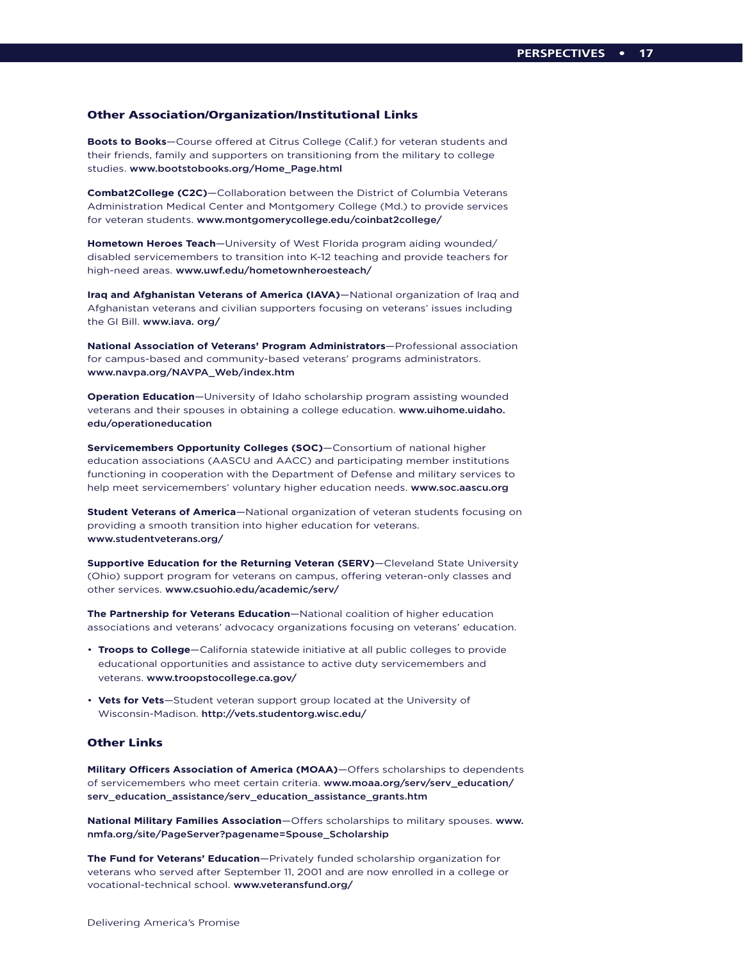### Other Association/Organization/Institutional Links

**Boots to Books**—Course offered at Citrus College (Calif.) for veteran students and their friends, family and supporters on transitioning from the military to college studies. www.bootstobooks.org/Home\_Page.html

**Combat2College (C2C)**—Collaboration between the District of Columbia Veterans Administration Medical Center and Montgomery College (Md.) to provide services for veteran students. www.montgomerycollege.edu/coinbat2college/

**Hometown Heroes Teach**—University of West Florida program aiding wounded/ disabled servicemembers to transition into K-12 teaching and provide teachers for high-need areas. www.uwf.edu/hometownheroesteach/

**Iraq and Afghanistan Veterans of America (IAVA)**—National organization of Iraq and Afghanistan veterans and civilian supporters focusing on veterans' issues including the GI Bill. www.iava. org/

**National Association of Veterans' Program Administrators**—Professional association for campus-based and community-based veterans' programs administrators. www.navpa.org/NAVPA\_Web/index.htm

**Operation Education**—University of Idaho scholarship program assisting wounded veterans and their spouses in obtaining a college education. www.uihome.uidaho. edu/operationeducation

**Servicemembers Opportunity Colleges (SOC)**—Consortium of national higher education associations (AASCU and AACC) and participating member institutions functioning in cooperation with the Department of Defense and military services to help meet servicemembers' voluntary higher education needs. www.soc.aascu.org

**Student Veterans of America**—National organization of veteran students focusing on providing a smooth transition into higher education for veterans. www.studentveterans.org/

**Supportive Education for the Returning Veteran (SERV)**—Cleveland State University (Ohio) support program for veterans on campus, offering veteran-only classes and other services. www.csuohio.edu/academic/serv/

**The Partnership for Veterans Education**—National coalition of higher education associations and veterans' advocacy organizations focusing on veterans' education.

- **Troops to College**—California statewide initiative at all public colleges to provide educational opportunities and assistance to active duty servicemembers and veterans. www.troopstocollege.ca.gov/
- **Vets for Vets**—Student veteran support group located at the University of Wisconsin-Madison. http://vets.studentorg.wisc.edu/

## Other Links

**Military Officers Association of America (MOAA)**—Offers scholarships to dependents of servicemembers who meet certain criteria. www.moaa.org/serv/serv\_education/ serv\_education\_assistance/serv\_education\_assistance\_grants.htm

**National Military Families Association**—Offers scholarships to military spouses. www. nmfa.org/site/PageServer?pagename=Spouse\_Scholarship

**The Fund for Veterans' Education**—Privately funded scholarship organization for veterans who served after September 11, 2001 and are now enrolled in a college or vocational-technical school. www.veteransfund.org/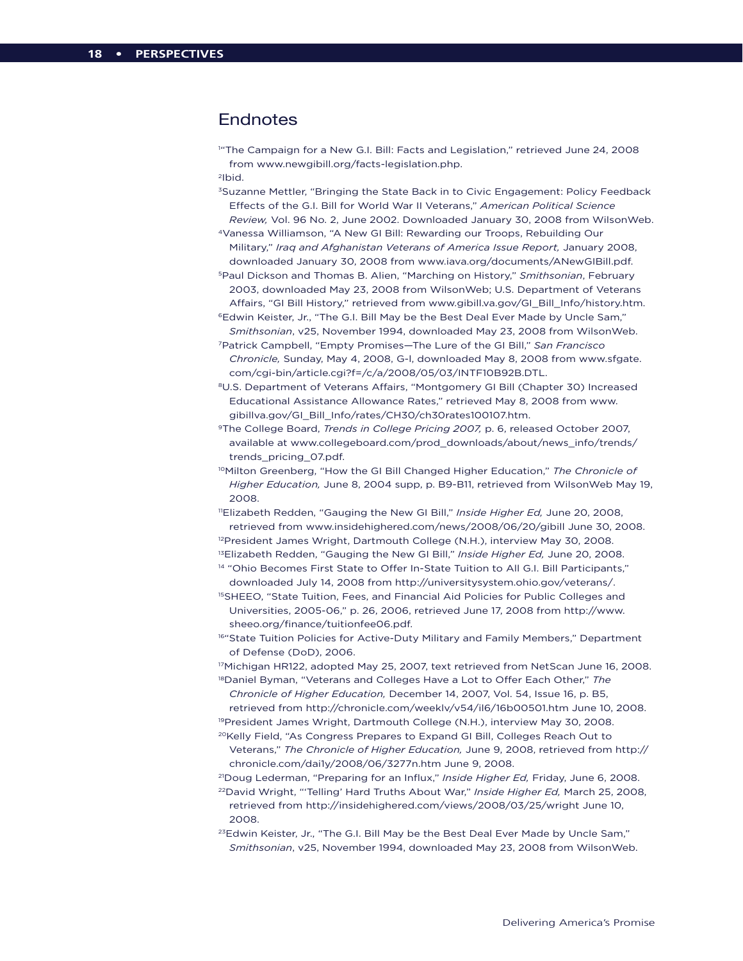## **Endnotes**

1 "The Campaign for a New G.I. Bill: Facts and Legislation," retrieved June 24, 2008 from www.newgibill.org/facts-legislation.php.

2Ibid.

3Suzanne Mettler, "Bringing the State Back in to Civic Engagement: Policy Feedback Effects of the G.I. Bill for World War II Veterans," *American Political Science Review,* Vol. 96 No. 2, June 2002. Downloaded January 30, 2008 from WilsonWeb.

4Vanessa Williamson, "A New GI Bill: Rewarding our Troops, Rebuilding Our Military," *Iraq and Afghanistan Veterans of America Issue Report,* January 2008, downloaded January 30, 2008 from www.iava.org/documents/ANewGIBill.pdf.

5Paul Dickson and Thomas B. Alien, "Marching on History," *Smithsonian*, February 2003, downloaded May 23, 2008 from WilsonWeb; U.S. Department of Veterans Affairs, "GI Bill History," retrieved from www.gibill.va.gov/GI\_Bill\_Info/history.htm.

6Edwin Keister, Jr., "The G.I. Bill May be the Best Deal Ever Made by Uncle Sam," *Smithsonian*, v25, November 1994, downloaded May 23, 2008 from WilsonWeb.

7Patrick Campbell, "Empty Promises—The Lure of the GI Bill," *San Francisco Chronicle,* Sunday, May 4, 2008, G-l, downloaded May 8, 2008 from www.sfgate. com/cgi-bin/article.cgi?f=/c/a/2008/05/03/INTF10B92B.DTL.

8U.S. Department of Veterans Affairs, "Montgomery GI Bill (Chapter 30) Increased Educational Assistance Allowance Rates," retrieved May 8, 2008 from www. gibillva.gov/GI\_Bill\_Info/rates/CH30/ch30rates100107.htm.

9The College Board, *Trends in College Pricing 2007,* p. 6, released October 2007, available at www.collegeboard.com/prod\_downloads/about/news\_info/trends/ trends\_pricing\_07.pdf.

10Milton Greenberg, "How the GI Bill Changed Higher Education," *The Chronicle of Higher Education,* June 8, 2004 supp, p. B9-B11, retrieved from WilsonWeb May 19, 2008.

11Elizabeth Redden, "Gauging the New GI Bill," *Inside Higher Ed,* June 20, 2008, retrieved from www.insidehighered.com/news/2008/06/20/gibill June 30, 2008.

<sup>12</sup>President James Wright, Dartmouth College (N.H.), interview May 30, 2008.

<sup>13</sup>Elizabeth Redden, "Gauging the New GI Bill," Inside Higher Ed, June 20, 2008. <sup>14</sup> "Ohio Becomes First State to Offer In-State Tuition to All G.I. Bill Participants,"

downloaded July 14, 2008 from http://universitysystem.ohio.gov/veterans/.

<sup>15</sup>SHEEO, "State Tuition, Fees, and Financial Aid Policies for Public Colleges and Universities, 2005-06," p. 26, 2006, retrieved June 17, 2008 from http://www. sheeo.org/finance/tuitionfee06.pdf.

16"State Tuition Policies for Active-Duty Military and Family Members," Department of Defense (DoD), 2006.

17Michigan HR122, adopted May 25, 2007, text retrieved from NetScan June 16, 2008. 18Daniel Byman, "Veterans and Colleges Have a Lot to Offer Each Other," *The* 

*Chronicle of Higher Education,* December 14, 2007, Vol. 54, Issue 16, p. B5, retrieved from http://chronicle.com/weeklv/v54/il6/16b00501.htm June 10, 2008.

<sup>19</sup>President James Wright, Dartmouth College (N.H.), interview May 30, 2008.

<sup>20</sup>Kelly Field, "As Congress Prepares to Expand GI Bill, Colleges Reach Out to Veterans," *The Chronicle of Higher Education,* June 9, 2008, retrieved from http:// chronicle.com/dai1y/2008/06/3277n.htm June 9, 2008.

21Doug Lederman, "Preparing for an Influx," *Inside Higher Ed,* Friday, June 6, 2008.

22David Wright, "'Telling' Hard Truths About War," *Inside Higher Ed,* March 25, 2008, retrieved from http://insidehighered.com/views/2008/03/25/wright June 10, 2008.

<sup>23</sup>Edwin Keister, Jr., "The G.I. Bill May be the Best Deal Ever Made by Uncle Sam," *Smithsonian*, v25, November 1994, downloaded May 23, 2008 from WilsonWeb.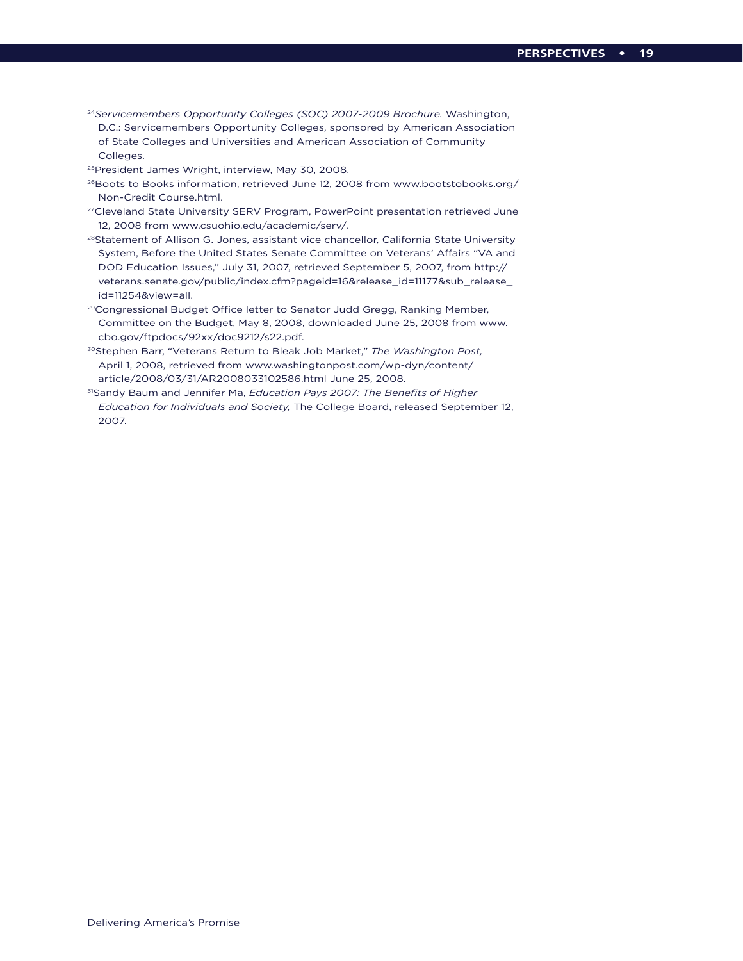- <sup>24</sup>*Servicemembers Opportunity Colleges (SOC) 2007-2009 Brochure.* Washington, D.C.: Servicemembers Opportunity Colleges, sponsored by American Association of State Colleges and Universities and American Association of Community Colleges.
- 25President James Wright, interview, May 30, 2008.
- <sup>26</sup>Boots to Books information, retrieved June 12, 2008 from www.bootstobooks.org/ Non-Credit Course.html.
- <sup>27</sup>Cleveland State University SERV Program, PowerPoint presentation retrieved June 12, 2008 from www.csuohio.edu/academic/serv/.
- <sup>28</sup>Statement of Allison G. Jones, assistant vice chancellor, California State University System, Before the United States Senate Committee on Veterans' Affairs "VA and DOD Education Issues," July 31, 2007, retrieved September 5, 2007, from http:// veterans.senate.gov/public/index.cfm?pageid=16&release\_id=11177&sub\_release\_ id=11254&view=all.
- 29Congressional Budget Office letter to Senator Judd Gregg, Ranking Member, Committee on the Budget, May 8, 2008, downloaded June 25, 2008 from www. cbo.gov/ftpdocs/92xx/doc9212/s22.pdf.
- 30Stephen Barr, "Veterans Return to Bleak Job Market," *The Washington Post,*  April 1, 2008, retrieved from www.washingtonpost.com/wp-dyn/content/ article/2008/03/31/AR2008033102586.html June 25, 2008.
- 31Sandy Baum and Jennifer Ma, *Education Pays 2007: The Benefits of Higher Education for Individuals and Society,* The College Board, released September 12, 2007.